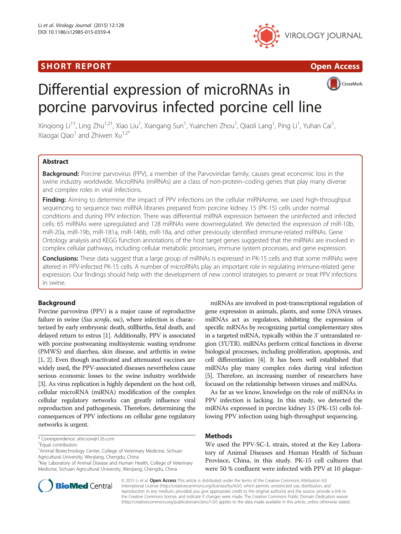## **SHORT REPORT CONSUMING THE SHORT CONSUMING THE CONSUMING THE CONSUMING THE CONSUMING THE CONSUMING THE CONSUMING T**





# Differential expression of microRNAs in porcine parvovirus infected porcine cell line



Xinqiong Li<sup>1†</sup>, Ling Zhu<sup>1,2†</sup>, Xiao Liu<sup>1</sup>, Xiangang Sun<sup>1</sup>, Yuanchen Zhou<sup>1</sup>, Qiaoli Lang<sup>1</sup>, Ping Li<sup>1</sup>, Yuhan Cai<sup>1</sup> , Xiaogai Qiao<sup>1</sup> and Zhiwen Xu<sup>1,2\*</sup>

## Abstract

Background: Porcine parvovirus (PPV), a member of the Parvoviridae family, causes great economic loss in the swine industry worldwide. MicroRNAs (miRNAs) are a class of non-protein–coding genes that play many diverse and complex roles in viral infections.

Finding: Aiming to determine the impact of PPV infections on the cellular miRNAome, we used high-throughput sequencing to sequence two miRNA libraries prepared from porcine kidney 15 (PK-15) cells under normal conditions and during PPV infection. There was differential miRNA expression between the uninfected and infected cells: 65 miRNAs were upregulated and 128 miRNAs were downregulated. We detected the expression of miR-10b, miR-20a, miR-19b, miR-181a, miR-146b, miR-18a, and other previously identified immune-related miRNAs. Gene Ontology analysis and KEGG function annotations of the host target genes suggested that the miRNAs are involved in complex cellular pathways, including cellular metabolic processes, immune system processes, and gene expression.

Conclusions: These data suggest that a large group of miRNAs is expressed in PK-15 cells and that some miRNAs were altered in PPV-infected PK-15 cells. A number of microRNAs play an important role in regulating immune-related gene expression. Our findings should help with the development of new control strategies to prevent or treat PPV infections in swine.

## Background

Porcine parvovirus (PPV) is a major cause of reproductive failure in swine (Sus scrofa, ssc), where infection is characterized by early embryonic death, stillbirths, fetal death, and delayed return to estrus [\[1\]](#page-7-0). Additionally, PPV is associated with porcine postweaning multisystemic wasting syndrome (PMWS) and diarrhea, skin disease, and arthritis in swine [[1](#page-7-0), [2](#page-7-0)]. Even though inactivated and attenuated vaccines are widely used, the PPV-associated diseases nevertheless cause serious economic losses to the swine industry worldwide [[3](#page-7-0)]. As virus replication is highly dependent on the host cell, cellular microRNA (miRNA) modification of the complex cellular regulatory networks can greatly influence viral reproduction and pathogenesis. Therefore, determining the consequences of PPV infections on cellular gene regulatory networks is urgent.

<sup>2</sup>Key Laboratory of Animal Disease and Human Health, College of Veterinary Medicine, Sichuan Agricultural University, Wenjiang, Chengdu, China

miRNAs are involved in post-transcriptional regulation of gene expression in animals, plants, and some DNA viruses. miRNAs act as regulators, inhibiting the expression of specific mRNAs by recognizing partial complementary sites in a targeted mRNA, typically within the 3' untranslated region (3'UTR). miRNAs perform critical functions in diverse biological processes, including proliferation, apoptosis, and cell differentiation [\[4\]](#page-7-0). It has been well established that miRNAs play many complex roles during viral infection [[5](#page-7-0)]. Therefore, an increasing number of researchers have focused on the relationship between viruses and miRNAs.

As far as we know, knowledge on the role of miRNAs in PPV infection is lacking. In this study, we detected the miRNAs expressed in porcine kidney 15 (PK-15) cells following PPV infection using high-throughput sequencing.

## Methods

We used the PPV-SC-L strain, stored at the Key Laboratory of Animal Diseases and Human Health of Sichuan Province, China, in this study. PK-15 cell cultures that were 50 % confluent were infected with PPV at 10 plaque-



© 2015 Li et al. Open Access This article is distributed under the terms of the Creative Commons Attribution 4.0 International License [\(http://creativecommons.org/licenses/by/4.0/](http://creativecommons.org/licenses/by/4.0/)), which permits unrestricted use, distribution, and reproduction in any medium, provided you give appropriate credit to the original author(s) and the source, provide a link to the Creative Commons license, and indicate if changes were made. The Creative Commons Public Domain Dedication waiver [\(http://creativecommons.org/publicdomain/zero/1.0/](http://creativecommons.org/publicdomain/zero/1.0/)) applies to the data made available in this article, unless otherwise stated.

<sup>\*</sup> Correspondence: [abtcxzw@126.com](mailto:abtcxzw@126.com) †

Equal contributors

<sup>&</sup>lt;sup>1</sup> Animal Biotechnology Center, College of Veterinary Medicine, Sichuan Agricultural University, Wenjiang, Chengdu, China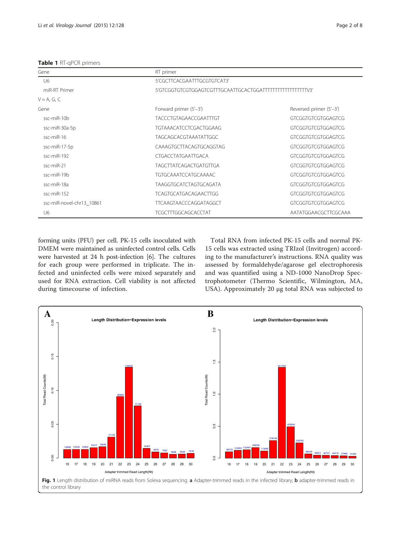<span id="page-1-0"></span>Table 1 RT-qPCR primers

| Gene                      | RT primer                     |                           |  |  |
|---------------------------|-------------------------------|---------------------------|--|--|
| U6                        | 5'CGCTTCACGAATTTGCGTGTCAT3'   |                           |  |  |
| miR-RT Primer             |                               |                           |  |  |
| $V = A$ , G, C            |                               |                           |  |  |
| Gene                      | Forward primer (5'-3')        | Reversed primer (5'-3')   |  |  |
| ssc-miR-10b               | TACCCTGTAGAACCGAATTTGT        | GTCGGTGTCGTGGAGTCG        |  |  |
| ssc-miR-30a-5p            | <b>TGTAAACATCCTCGACTGGAAG</b> | <b>GTCGGTGTCGTGGAGTCG</b> |  |  |
| $ssc$ -mi $R-16$          | TAGCAGCACGTAAATATTGGC         | <b>GTCGGTGTCGTGGAGTCG</b> |  |  |
| ssc-miR-17-5p             | CAAAGTGCTTACAGTGCAGGTAG       | <b>GTCGGTGTCGTGGAGTCG</b> |  |  |
| ssc-miR-192               | <b>CTGACCTATGAATTGACA</b>     | <b>GTCGGTGTCGTGGAGTCG</b> |  |  |
| ssc-miR-21                | TAGCTTATCAGACTGATGTTGA        | <b>GTCGGTGTCGTGGAGTCG</b> |  |  |
| ssc-miR-19b               | <b>TGTGCAAATCCATGCAAAAC</b>   | GTCGGTGTCGTGGAGTCG        |  |  |
| ssc-miR-18a               | TAAGGTGCATCTAGTGCAGATA        | <b>GTCGGTGTCGTGGAGTCG</b> |  |  |
| ssc-miR-152               | <b>TCAGTGCATGACAGAACTTGG</b>  | <b>GTCGGTGTCGTGGAGTCG</b> |  |  |
| ssc-miR-novel-chr13_10861 | <b>TTCAAGTAACCCAGGATAGGCT</b> | GTCGGTGTCGTGGAGTCG        |  |  |
| U6                        | <b>TCGCTTTGGCAGCACCTAT</b>    | AATATGGAACGCTTCGCAAA      |  |  |

forming units (PFU) per cell. PK-15 cells inoculated with DMEM were maintained as uninfected control cells. Cells were harvested at 24 h post-infection [[6\]](#page-7-0). The cultures for each group were performed in triplicate. The infected and uninfected cells were mixed separately and used for RNA extraction. Cell viability is not affected during timecourse of infection.

Total RNA from infected PK-15 cells and normal PK-15 cells was extracted using TRIzol (Invitrogen) according to the manufacturer's instructions. RNA quality was assessed by formaldehyde/agarose gel electrophoresis and was quantified using a ND-1000 NanoDrop Spectrophotometer (Thermo Scientific, Wilmington, MA, USA). Approximately 20 μg total RNA was subjected to

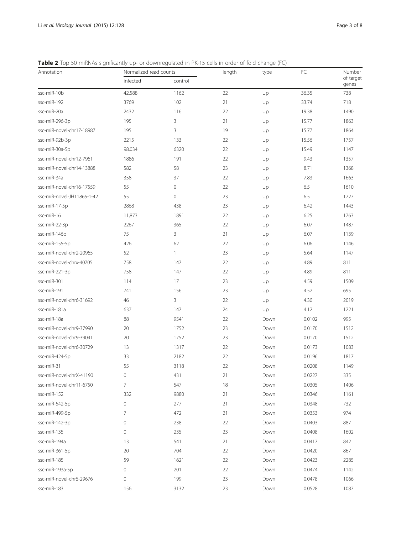<span id="page-2-0"></span>Table 2 Top 50 miRNAs significantly up- or downregulated in PK-15 cells in order of fold change (FC)

| Annotation                 | Normalized read counts |              | length | type | FC     | Number             |
|----------------------------|------------------------|--------------|--------|------|--------|--------------------|
|                            | infected               | control      |        |      |        | of target<br>genes |
| ssc-miR-10b                | 42,588                 | 1162         | 22     | Up   | 36.35  | 738                |
| ssc-miR-192                | 3769                   | 102          | 21     | Up   | 33.74  | 718                |
| ssc-miR-20a                | 2432                   | 116          | 22     | Up   | 19.38  | 1490               |
| ssc-miR-296-3p             | 195                    | 3            | 21     | Up   | 15.77  | 1863               |
| ssc-miR-novel-chr17-18987  | 195                    | 3            | 19     | Up   | 15.77  | 1864               |
| ssc-miR-92b-3p             | 2215                   | 133          | 22     | Up   | 15.56  | 1757               |
| ssc-miR-30a-5p             | 98,034                 | 6320         | 22     | Up   | 15.49  | 1147               |
| ssc-miR-novel-chr12-7961   | 1886                   | 191          | 22     | Up   | 9.43   | 1357               |
| ssc-miR-novel-chr14-13888  | 582                    | 58           | 23     | Up   | 8.71   | 1368               |
| ssc-miR-34a                | 358                    | 37           | 22     | Up   | 7.83   | 1663               |
| ssc-miR-novel-chr16-17559  | 55                     | 0            | 22     | Up   | 6.5    | 1610               |
| ssc-miR-novel-JH11865-1-42 | 55                     | 0            | 23     | Up   | 6.5    | 1727               |
| ssc-miR-17-5p              | 2868                   | 438          | 23     | Up   | 6.42   | 1443               |
| ssc-miR-16                 | 11,873                 | 1891         | 22     | Up   | 6.25   | 1763               |
| ssc-miR-22-3p              | 2267                   | 365          | 22     | Up   | 6.07   | 1487               |
| ssc-miR-146b               | 75                     | 3            | 21     | Up   | 6.07   | 1139               |
| ssc-miR-155-5p             | 426                    | 62           | 22     | Up   | 6.06   | 1146               |
| ssc-miR-novel-chr2-20965   | 52                     | $\mathbf{1}$ | 23     | Up   | 5.64   | 1147               |
| ssc-miR-novel-chrx-40705   | 758                    | 147          | 22     | Up   | 4.89   | 811                |
| ssc-miR-221-3p             | 758                    | 147          | 22     | Up   | 4.89   | 811                |
| ssc-miR-301                | 114                    | 17           | 23     | Up   | 4.59   | 1509               |
| ssc-miR-191                | 741                    | 156          | 23     | Up   | 4.52   | 695                |
| ssc-miR-novel-chr6-31692   | 46                     | 3            | 22     | Up   | 4.30   | 2019               |
| ssc-miR-181a               | 637                    | 147          | 24     | Up   | 4.12   | 1221               |
| ssc-miR-18a                | 88                     | 9541         | 22     | Down | 0.0102 | 995                |
| ssc-miR-novel-chr9-37990   | 20                     | 1752         | 23     | Down | 0.0170 | 1512               |
| ssc-miR-novel-chr9-39041   | 20                     | 1752         | 23     | Down | 0.0170 | 1512               |
| ssc-miR-novel-chr6-30729   | 13                     | 1317         | 22     | Down | 0.0173 | 1083               |
| ssc-miR-424-5p             | 33                     | 2182         | 22     | Down | 0.0196 | 1817               |
| ssc-miR-31                 | 55                     | 3118         | 22     | Down | 0.0208 | 1149               |
| ssc-miR-novel-chrX-41190   | $\mathsf{O}\xspace$    | 431          | 21     | Down | 0.0227 | 335                |
| ssc-miR-novel-chr11-6750   | $\overline{7}$         | 547          | 18     | Down | 0.0305 | 1406               |
| ssc-miR-152                | 332                    | 9880         | 21     | Down | 0.0346 | 1161               |
| ssc-miR-542-5p             | 0                      | 277          | 21     | Down | 0.0348 | 732                |
| ssc-miR-499-5p             | $\overline{7}$         | 472          | 21     | Down | 0.0353 | 974                |
| ssc-miR-142-3p             | $\mathsf{O}\xspace$    | 238          | 22     | Down | 0.0403 | 887                |
| ssc-miR-135                | 0                      | 235          | 23     | Down | 0.0408 | 1602               |
| ssc-miR-194a               | 13                     | 541          | 21     | Down | 0.0417 | 842                |
| ssc-miR-361-5p             | 20                     | 704          | 22     | Down | 0.0420 | 867                |
| ssc-miR-185                | 59                     | 1621         | 22     | Down | 0.0423 | 2285               |
| ssc-miR-193a-5p            | $\mathsf{O}\xspace$    | 201          | 22     | Down | 0.0474 | 1142               |
| ssc-miR-novel-chr5-29676   | $\mathsf{O}\xspace$    | 199          | 23     | Down | 0.0478 | 1066               |
| ssc-miR-183                | 156                    | 3132         | 23     | Down | 0.0528 | 1087               |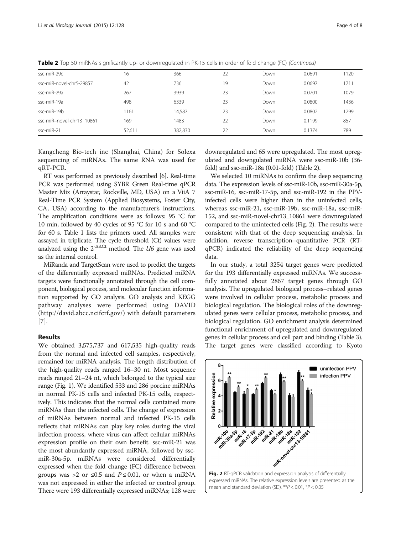| ssc-miR-29c               | 16     | 366     | 22 | Down | 0.0691 | 1120 |
|---------------------------|--------|---------|----|------|--------|------|
| ssc-miR-novel-chr5-29857  | 42     | 736     | 19 | Down | 0.0697 | 1711 |
| ssc-miR-29a               | 267    | 3939    | 23 | Down | 0.0701 | 1079 |
| ssc-miR-19a               | 498    | 6339    | 23 | Down | 0.0800 | 1436 |
| ssc-miR-19b               | 1161   | 14.587  | 23 | Down | 0.0802 | 1299 |
| ssc-miR-novel-chr13 10861 | 169    | 1483    | 22 | Down | 0.1199 | 857  |
| ssc-miR-21                | 52,611 | 382,830 | 22 | Down | 0.1374 | 789  |
|                           |        |         |    |      |        |      |

Table 2 Top 50 miRNAs significantly up- or downregulated in PK-15 cells in order of fold change (FC) (Continued)

Kangcheng Bio-tech inc (Shanghai, China) for Solexa sequencing of miRNAs. The same RNA was used for qRT-PCR.

RT was performed as previously described [\[6\]](#page-7-0). Real-time PCR was performed using SYBR Green Real-time qPCR Master Mix (Arraystar, Rockville, MD, USA) on a ViiA 7 Real-Time PCR System (Applied Biosystems, Foster City, CA, USA) according to the manufacturer's instructions. The amplification conditions were as follows: 95 °C for 10 min, followed by 40 cycles of 95 °C for 10 s and 60 °C for 60 s. Table [1](#page-1-0) lists the primers used. All samples were assayed in triplicate. The cycle threshold (Ct) values were analyzed using the  $2^{-\Delta\Delta Ct}$  method. The *U6* gene was used as the internal control.

MiRanda and TargetScan were used to predict the targets of the differentially expressed miRNAs. Predicted miRNA targets were functionally annotated through the cell component, biological process, and molecular function information supported by GO analysis. GO analysis and KEGG pathway analyses were performed using DAVID ([http://david.abcc.ncifcrf.gov/\)](http://david.abcc.ncifcrf.gov/) with default parameters [[7](#page-7-0)].

## Results

We obtained 3,575,737 and 617,535 high-quality reads from the normal and infected cell samples, respectively, remained for miRNA analysis. The length distribution of the high-quality reads ranged 16–30 nt. Most sequence reads ranged 21–24 nt, which belonged to the typical size range (Fig. [1](#page-1-0)). We identified 533 and 286 porcine miRNAs in normal PK-15 cells and infected PK-15 cells, respectively. This indicates that the normal cells contained more miRNAs than the infected cells. The change of expression of miRNAs between normal and infected PK-15 cells reflects that miRNAs can play key roles during the viral infection process, where virus can affect cellular miRNAs expression profile on their own benefit. ssc-miR-21 was the most abundantly expressed miRNA, followed by sscmiR-30a-5p. miRNAs were considered differentially expressed when the fold change (FC) difference between groups was >2 or  $\leq 0.5$  and  $P \leq 0.01$ , or when a miRNA was not expressed in either the infected or control group. There were 193 differentially expressed miRNAs; 128 were

downregulated and 65 were upregulated. The most upregulated and downgulated miRNA were ssc-miR-10b (36 fold) and ssc-miR-18a (0.01-fold) (Table [2](#page-2-0)).

We selected 10 miRNAs to confirm the deep sequencing data. The expression levels of ssc-miR-10b, ssc-miR-30a-5p, ssc-miR-16, ssc-miR-17-5p, and ssc-miR-192 in the PPVinfected cells were higher than in the uninfected cells, whereas ssc-miR-21, ssc-miR-19b, ssc-miR-18a, ssc-miR-152, and ssc-miR-novel-chr13\_10861 were downregulated compared to the uninfected cells (Fig. 2). The results were consistent with that of the deep sequencing analysis. In addition, reverse transcription–quantitative PCR (RTqPCR) indicated the reliability of the deep sequencing data.

In our study, a total 3254 target genes were predicted for the 193 differentially expressed miRNAs. We successfully annotated about 2867 target genes through GO analysis. The upregulated biological process–related genes were involved in cellular process, metabolic process and biological regulation. The biological roles of the downregulated genes were cellular process, metabolic process, and biological regulation. GO enrichment analysis determined functional enrichment of upregulated and downregulated genes in cellular process and cell part and binding (Table [3](#page-4-0)). The target genes were classified according to Kyoto

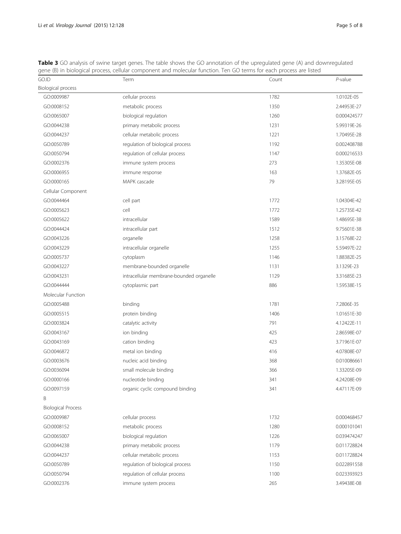| GO.ID                     | Term                                     | Count | $P$ -value  |
|---------------------------|------------------------------------------|-------|-------------|
| <b>Biological process</b> |                                          |       |             |
| GO:0009987                | cellular process                         | 1782  | 1.0102E-05  |
| GO:0008152                | metabolic process                        | 1350  | 2.44953E-27 |
| GO:0065007                | biological regulation                    | 1260  | 0.000424577 |
| GO:0044238                | primary metabolic process                | 1231  | 5.99319E-26 |
| GO:0044237                | cellular metabolic process               | 1221  | 1.70495E-28 |
| GO:0050789                | regulation of biological process         | 1192  | 0.002408788 |
| GO:0050794                | regulation of cellular process           | 1147  | 0.000216533 |
| GO:0002376                | immune system process                    | 273   | 1.35305E-08 |
| GO:0006955                | immune response                          | 163   | 1.37682E-05 |
| GO:0000165                | MAPK cascade                             | 79    | 3.28195E-05 |
| Cellular Component        |                                          |       |             |
| GO:0044464                | cell part                                | 1772  | 1.04304E-42 |
| GO:0005623                | cell                                     | 1772  | 1.25735E-42 |
| GO:0005622                | intracellular                            | 1589  | 1.48695E-38 |
| GO:0044424                | intracellular part                       | 1512  | 9.75601E-38 |
| GO:0043226                | organelle                                | 1258  | 3.15768E-22 |
| GO:0043229                | intracellular organelle                  | 1255  | 5.59497E-22 |
| GO:0005737                | cytoplasm                                | 1146  | 1.88382E-25 |
| GO:0043227                | membrane-bounded organelle               | 1131  | 3.1329E-23  |
| GO:0043231                | intracellular membrane-bounded organelle | 1129  | 3.31685E-23 |
| GO:0044444                | cytoplasmic part                         | 886   | 1.59538E-15 |
| Molecular Function        |                                          |       |             |
| GO:0005488                | binding                                  | 1781  | 7.2806E-35  |
| GO:0005515                | protein binding                          | 1406  | 1.01651E-30 |
| GO:0003824                | catalytic activity                       | 791   | 4.12422E-11 |
| GO:0043167                | ion binding                              | 425   | 2.86598E-07 |
| GO:0043169                | cation binding                           | 423   | 3.71961E-07 |
| GO:0046872                | metal ion binding                        | 416   | 4.07808E-07 |
| GO:0003676                | nucleic acid binding                     | 368   | 0.010086661 |
| GO:0036094                | small molecule binding                   | 366   | 1.33205E-09 |
| GO:0000166                | nucleotide binding                       | 341   | 4.24208E-09 |
| GO:0097159                | organic cyclic compound binding          | 341   | 4.47117E-09 |
| B                         |                                          |       |             |
| <b>Biological Process</b> |                                          |       |             |
| GO:0009987                | cellular process                         | 1732  | 0.000468457 |
| GO:0008152                | metabolic process                        | 1280  | 0.000101041 |
| GO:0065007                | biological regulation                    | 1226  | 0.039474247 |
| GO:0044238                | primary metabolic process                | 1179  | 0.011728824 |
| GO:0044237                | cellular metabolic process               | 1153  | 0.011728824 |
| GO:0050789                | regulation of biological process         | 1150  | 0.022891558 |
| GO:0050794                | regulation of cellular process           | 1100  | 0.023393923 |
| GO:0002376                | immune system process                    | 265   | 3.49438E-08 |

<span id="page-4-0"></span>**Table 3** GO analysis of swine target genes. The table shows the GO annotation of the upregulated gene (A) and downregulated gene (B) in biological process, cellular component and molecular function. Ten GO terms for each process are listed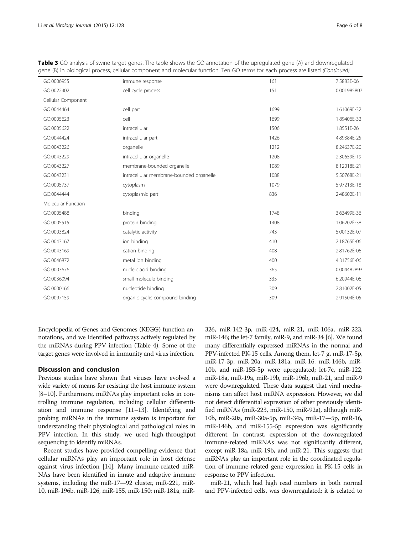| GO:0006955         | immune response                          | 161  | 7.5883E-06  |
|--------------------|------------------------------------------|------|-------------|
| GO:0022402         | cell cycle process                       | 151  | 0.001985807 |
| Cellular Component |                                          |      |             |
| GO:0044464         | cell part                                | 1699 | 1.61069E-32 |
| GO:0005623         | cell                                     | 1699 | 1.89406E-32 |
| GO:0005622         | intracellular                            | 1506 | 1.8551E-26  |
| GO:0044424         | intracellular part                       | 1426 | 4.89384E-25 |
| GO:0043226         | organelle                                | 1212 | 8.24637E-20 |
| GO:0043229         | intracellular organelle                  | 1208 | 2.30659E-19 |
| GO:0043227         | membrane-bounded organelle               | 1089 | 8.12018E-21 |
| GO:0043231         | intracellular membrane-bounded organelle | 1088 | 5.50768E-21 |
| GO:0005737         | cytoplasm                                | 1079 | 5.97213E-18 |
| GO:0044444         | cytoplasmic part                         | 836  | 2.48602E-11 |
| Molecular Function |                                          |      |             |
| GO:0005488         | binding                                  | 1748 | 3.63499E-36 |
| GO:0005515         | protein binding                          | 1408 | 1.06202E-38 |
| GO:0003824         | catalytic activity                       | 743  | 5.00132E-07 |
| GO:0043167         | ion binding                              | 410  | 2.18765E-06 |
| GO:0043169         | cation binding                           | 408  | 2.81762E-06 |
| GO:0046872         | metal ion binding                        | 400  | 4.31756E-06 |
| GO:0003676         | nucleic acid binding                     | 365  | 0.004482893 |
| GO:0036094         | small molecule binding                   | 335  | 6.20944E-06 |
| GO:0000166         | nucleotide binding                       | 309  | 2.81002E-05 |
| GO:0097159         | organic cyclic compound binding          | 309  | 2.91504E-05 |
|                    |                                          |      |             |

Table 3 GO analysis of swine target genes. The table shows the GO annotation of the upregulated gene (A) and downregulated gene (B) in biological process, cellular component and molecular function. Ten GO terms for each process are listed (Continued)

Encyclopedia of Genes and Genomes (KEGG) function annotations, and we identified pathways actively regulated by the miRNAs during PPV infection (Table [4](#page-6-0)). Some of the target genes were involved in immunity and virus infection.

### Discussion and conclusion

Previous studies have shown that viruses have evolved a wide variety of means for resisting the host immune system [[8](#page-7-0)–[10\]](#page-7-0). Furthermore, miRNAs play important roles in controlling immune regulation, including cellular differentiation and immune response [\[11](#page-7-0)–[13\]](#page-7-0). Identifying and probing miRNAs in the immune system is important for understanding their physiological and pathological roles in PPV infection. In this study, we used high-throughput sequencing to identify miRNAs.

Recent studies have provided compelling evidence that cellular miRNAs play an important role in host defense against virus infection [\[14](#page-7-0)]. Many immune-related miR-NAs have been identified in innate and adaptive immune systems, including the miR-17—92 cluster, miR-221, miR-10, miR-196b, miR-126, miR-155, miR-150; miR-181a, miR- 326, miR-142-3p, miR-424, miR-21, miR-106a, miR-223, miR-146; the let-7 family, miR-9, and miR-34 [[6](#page-7-0)]. We found many differentially expressed miRNAs in the normal and PPV-infected PK-15 cells. Among them, let-7 g, miR-17-5p, miR-17-3p, miR-20a, miR-181a, miR-16, miR-146b, miR-10b, and miR-155-5p were upregulated; let-7c, miR-122, miR-18a, miR-19a, miR-19b, miR-196b, miR-21, and miR-9 were downregulated. These data suggest that viral mechanisms can affect host miRNA expression. However, we did not detect differential expression of other previously identified miRNAs (miR-223, miR-150, miR-92a), although miR-10b, miR-20a, miR-30a-5p, miR-34a, miR-17—5p, miR-16, miR-146b, and miR-155-5p expression was significantly different. In contrast, expression of the downregulated immune-related miRNAs was not significantly different, except miR-18a, miR-19b, and miR-21. This suggests that miRNAs play an important role in the coordinated regulation of immune-related gene expression in PK-15 cells in response to PPV infection.

miR-21, which had high read numbers in both normal and PPV-infected cells, was downregulated; it is related to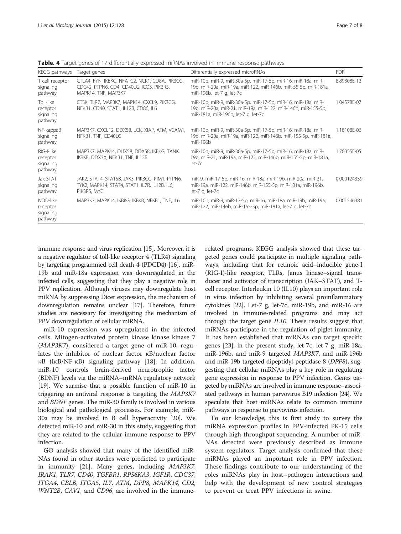| KEGG pathways                                  | Target genes                                                                                                      | Differentially expressed microRNAs                                                                                                                                   | <b>FDR</b>  |
|------------------------------------------------|-------------------------------------------------------------------------------------------------------------------|----------------------------------------------------------------------------------------------------------------------------------------------------------------------|-------------|
| T cell receptor<br>signaling<br>pathway        | CTLA4, FYN, IKBKG, NFATC2, NCK1, CD8A, PIK3CG,<br>CDC42, PTPN6, CD4, CD40LG, ICOS, PIK3R5,<br>MAPK14, TNF, MAP3K7 | miR-10b, miR-9, miR-30a-5p, miR-17-5p, miR-16, miR-18a, miR-<br>19b, miR-20a, miR-19a, miR-122, miR-146b, miR-55-5p, miR-181a,<br>miR-196b, let-7 g, let-7c          | 8.89308E-12 |
| Toll-like<br>receptor<br>signaling<br>pathway  | CTSK, TLR7, MAP3K7, MAPK14, CXCL9, PIK3CG,<br>NFKB1, CD40, STAT1, IL12B, CD86, IL6                                | miR-10b, miR-9, miR-30a-5p, miR-17-5p, miR-16, miR-18a, miR-<br>19b, miR-20a, miR-21, miR-19a, miR-122, miR-146b, miR-155-5p,<br>miR-181a, miR-196b, let-7 g, let-7c | 1.04578E-07 |
| NF-kappaB<br>signaling<br>pathway              | MAP3K7, CXCL12, DDX58, LCK, XIAP, ATM, VCAM1,<br>NFKB1, TNF, CD40LG                                               | miR-10b, miR-9, miR-30a-5p, miR-17-5p, miR-16, miR-18a, miR-<br>19b, miR-20a, miR-19a, miR-122, miR-146b, miR-155-5p, miR-181a,<br>miR-196b                          | 1.18108E-06 |
| RIG-I-like<br>receptor<br>signaling<br>pathway | MAP3K7, MAPK14, DHX58, DDX58, IKBKG, TANK,<br>IKBKB, DDX3X, NFKB1, TNF, IL12B                                     | miR-10b, miR-9, miR-30a-5p, miR-17-5p, miR-16, miR-18a, miR-<br>19b, miR-21, miR-19a, miR-122, miR-146b, miR-155-5p, miR-181a,<br>$let-7c$                           | 1.70355E-05 |
| Jak-STAT<br>signaling<br>pathway               | JAK2, STAT4, STAT5B, JAK3, PIK3CG, PIM1, PTPN6,<br>TYK2, MAPK14, STAT4, STAT1, IL7R, IL12B, IL6,<br>PIK3R5, MYC   | miR-9, miR-17-5p, miR-16, miR-18a, miR-19b, miR-20a, miR-21,<br>miR-19a, miR-122, miR-146b, miR-155-5p, miR-181a, miR-196b,<br>let-7 g, let-7c                       | 0.000124339 |
| NOD-like<br>receptor<br>signaling<br>pathway   | MAP3K7, MAPK14, IKBKG, IKBKB, NFKB1, TNF, IL6                                                                     | miR-10b, miR-9, miR-17-5p, miR-16, miR-18a, miR-19b, miR-19a,<br>miR-122, miR-146b, miR-155-5p, miR-181a, let-7 g, let-7c                                            | 0.001546381 |

<span id="page-6-0"></span>Table. 4 Target genes of 17 differentially expressed miRNAs involved in immune response pathways

immune response and virus replication [\[15\]](#page-7-0). Moreover, it is a negative regulator of toll-like receptor 4 (TLR4) signaling by targeting programmed cell death 4 (PDCD4) [\[16\]](#page-7-0). miR-19b and miR-18a expression was downregulated in the infected cells, suggesting that they play a negative role in PPV replication. Although viruses may downregulate host miRNA by suppressing Dicer expression, the mechanism of downregulation remains unclear [\[17\]](#page-7-0). Therefore, future studies are necessary for investigating the mechanism of PPV downregulation of cellular miRNA.

miR-10 expression was upregulated in the infected cells. Mitogen-activated protein kinase kinase kinase 7 (MAP3K7), considered a target gene of miR-10, regulates the inhibitor of nuclear factor κB/nuclear factor κB (IκB/NF-κB) signaling pathway [[18\]](#page-7-0). In addition, miR-10 controls brain-derived neurotrophic factor (BDNF) levels via the miRNA–mRNA regulatory network [[19](#page-7-0)]. We surmise that a possible function of miR-10 in triggering an antiviral response is targeting the MAP3K7 and BDNF genes. The miR-30 family is involved in various biological and pathological processes. For example, miR-30a may be involved in B cell hyperactivity [\[20\]](#page-7-0). We detected miR-10 and miR-30 in this study, suggesting that they are related to the cellular immune response to PPV infection.

GO analysis showed that many of the identified miR-NAs found in other studies were predicted to participate in immunity [[21](#page-7-0)]. Many genes, including MAP3K7, IRAK1, TLR7, CD40, TGFBR1, RPS6KA3, IGF1R, CDC37, ITGA4, CBLB, ITGA5, IL7, ATM, DPP8, MAPK14, CD2, WNT2B, CAV1, and CD96, are involved in the immune-

related programs. KEGG analysis showed that these targeted genes could participate in multiple signaling pathways, including that for retinoic acid–inducible gene-I (RIG-I)-like receptor, TLRs, Janus kinase–signal transducer and activator of transcription (JAK–STAT), and Tcell receptor. Interleukin 10 (IL10) plays an important role in virus infection by inhibiting several proinflammatory cytokines [\[22\]](#page-7-0). Let-7 g, let-7c, miR-19b, and miR-16 are involved in immune-related programs and may act through the target gene  $IL10$ . These results suggest that miRNAs participate in the regulation of piglet immunity. It has been established that miRNAs can target specific genes [\[23\]](#page-7-0); in the present study, let-7c, let-7 g, miR-18a, miR-196b, and miR-9 targeted MAP3K7, and miR-196b and miR-19b targeted dipeptidyl-peptidase 8 (DPP8), suggesting that cellular miRNAs play a key role in regulating gene expression in response to PPV infection. Genes targeted by miRNAs are involved in immune response–associated pathways in human parvovirus B19 infection [\[24](#page-7-0)]. We speculate that host miRNAs relate to common immune pathways in response to parvovirus infection.

To our knowledge, this is first study to survey the miRNA expression profiles in PPV-infected PK-15 cells through high-throughput sequencing. A number of miR-NAs detected were previously described as immune system regulators. Target analysis confirmed that these miRNAs played an important role in PPV infection. These findings contribute to our understanding of the roles miRNAs play in host–pathogen interactions and help with the development of new control strategies to prevent or treat PPV infections in swine.